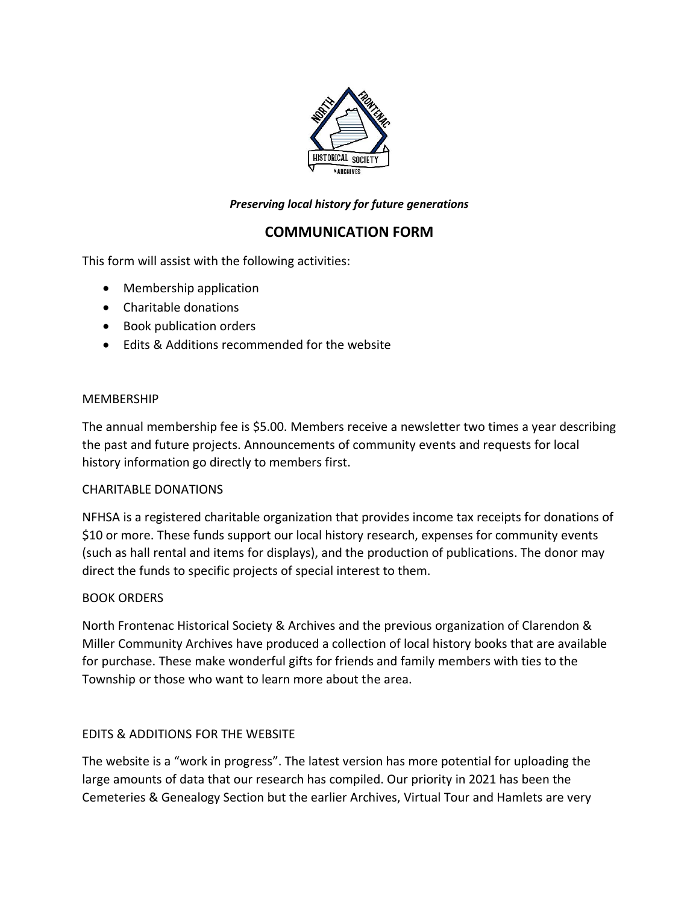

## *Preserving local history for future generations*

# **COMMUNICATION FORM**

This form will assist with the following activities:

- Membership application
- Charitable donations
- Book publication orders
- Edits & Additions recommended for the website

#### **MEMBERSHIP**

The annual membership fee is \$5.00. Members receive a newsletter two times a year describing the past and future projects. Announcements of community events and requests for local history information go directly to members first.

#### CHARITABLE DONATIONS

NFHSA is a registered charitable organization that provides income tax receipts for donations of \$10 or more. These funds support our local history research, expenses for community events (such as hall rental and items for displays), and the production of publications. The donor may direct the funds to specific projects of special interest to them.

#### BOOK ORDERS

North Frontenac Historical Society & Archives and the previous organization of Clarendon & Miller Community Archives have produced a collection of local history books that are available for purchase. These make wonderful gifts for friends and family members with ties to the Township or those who want to learn more about the area.

### EDITS & ADDITIONS FOR THE WEBSITE

The website is a "work in progress". The latest version has more potential for uploading the large amounts of data that our research has compiled. Our priority in 2021 has been the Cemeteries & Genealogy Section but the earlier Archives, Virtual Tour and Hamlets are very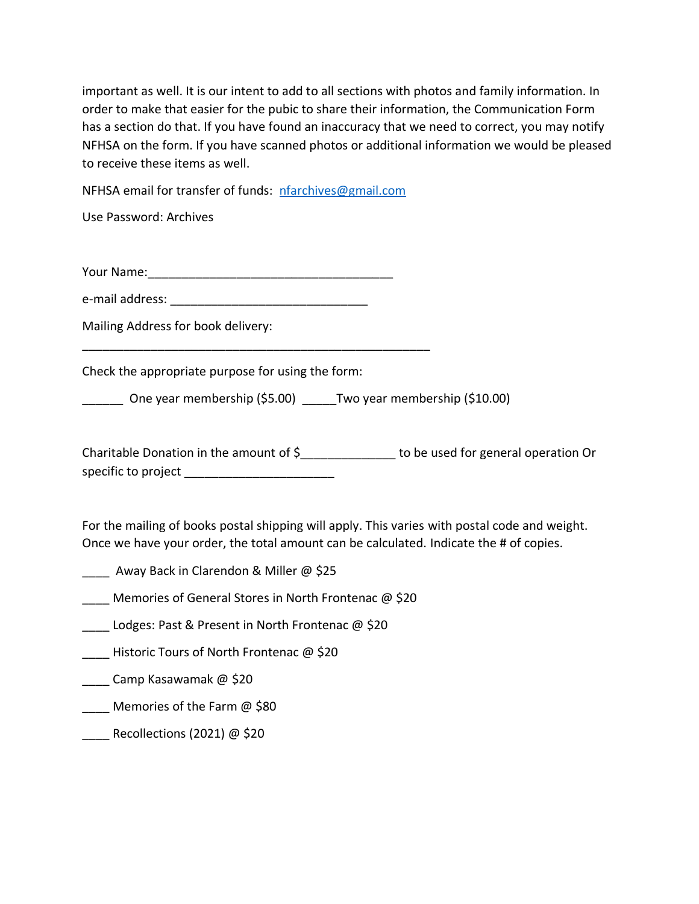important as well. It is our intent to add to all sections with photos and family information. In order to make that easier for the pubic to share their information, the Communication Form has a section do that. If you have found an inaccuracy that we need to correct, you may notify NFHSA on the form. If you have scanned photos or additional information we would be pleased to receive these items as well.

NFHSA email for transfer of funds: [nfarchives@gmail.com](mailto:nfarchives@gmail.com)

Use Password: Archives

Your Name:\_\_\_\_\_\_\_\_\_\_\_\_\_\_\_\_\_\_\_\_\_\_\_\_\_\_\_\_\_\_\_\_\_\_\_\_

\_\_\_\_\_\_\_\_\_\_\_\_\_\_\_\_\_\_\_\_\_\_\_\_\_\_\_\_\_\_\_\_\_\_\_\_\_\_\_\_\_\_\_\_\_\_\_\_\_\_\_

e-mail address: **with a set of the set of the set of the set of the set of the set of the set of the set of the set of the set of the set of the set of the set of the set of the set of the set of the set of the set of the** 

Mailing Address for book delivery:

Check the appropriate purpose for using the form:

\_\_\_\_\_\_ One year membership (\$5.00) \_\_\_\_\_Two year membership (\$10.00)

Charitable Donation in the amount of \$ The state of the used for general operation Or specific to project **and the set of the set of the set of the set of the set of the set of the set of the set o** 

For the mailing of books postal shipping will apply. This varies with postal code and weight. Once we have your order, the total amount can be calculated. Indicate the # of copies.

- Away Back in Clarendon & Miller @ \$25
- Memories of General Stores in North Frontenac @ \$20
- Lodges: Past & Present in North Frontenac @ \$20
- Historic Tours of North Frontenac @ \$20
- \_\_\_\_ Camp Kasawamak @ \$20
- **Memories of the Farm @ \$80**
- Recollections (2021)  $@$  \$20